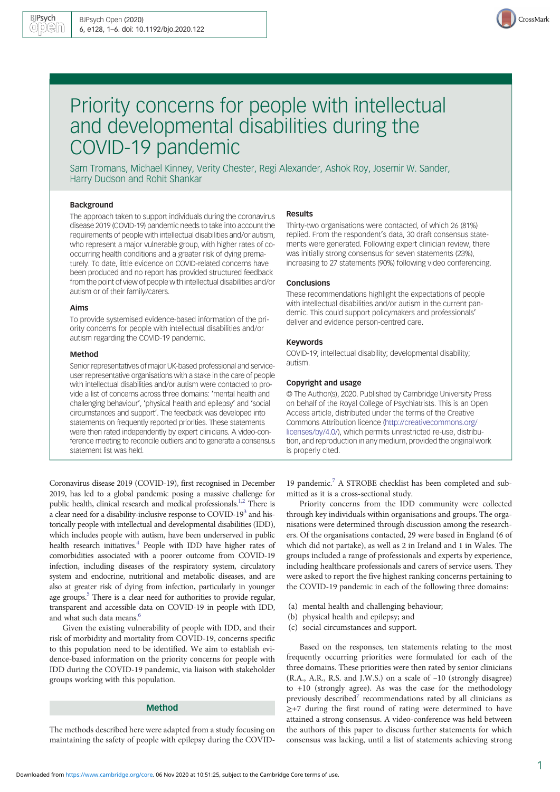

# Priority concerns for people with intellectual and developmental disabilities during the COVID-19 pandemic

Sam Tromans, Michael Kinney, Verity Chester, Regi Alexander, Ashok Roy, Josemir W. Sander, Harry Dudson and Rohit Shankar

## Background

The approach taken to support individuals during the coronavirus disease 2019 (COVID-19) pandemic needs to take into account the requirements of people with intellectual disabilities and/or autism, who represent a major vulnerable group, with higher rates of cooccurring health conditions and a greater risk of dying prematurely. To date, little evidence on COVID-related concerns have been produced and no report has provided structured feedback from the point of view of people with intellectual disabilities and/or autism or of their family/carers.

#### Aims

To provide systemised evidence-based information of the priority concerns for people with intellectual disabilities and/or autism regarding the COVID-19 pandemic.

#### Method

Senior representatives of major UK-based professional and serviceuser representative organisations with a stake in the care of people with intellectual disabilities and/or autism were contacted to provide a list of concerns across three domains: 'mental health and challenging behaviour', 'physical health and epilepsy' and 'social circumstances and support'. The feedback was developed into statements on frequently reported priorities. These statements were then rated independently by expert clinicians. A video-conference meeting to reconcile outliers and to generate a consensus statement list was held.

Coronavirus disease 2019 (COVID-19), first recognised in December 2019, has led to a global pandemic posing a massive challenge for public health, clinical research and medical professionals.<sup>1,[2](#page-4-0)</sup> There is a clear need for a disability-inclusive response to COVID-19<sup>3</sup> and historically people with intellectual and developmental disabilities (IDD), which includes people with autism, have been underserved in public health research initiatives.<sup>4</sup> People with IDD have higher rates of comorbidities associated with a poorer outcome from COVID-19 infection, including diseases of the respiratory system, circulatory system and endocrine, nutritional and metabolic diseases, and are also at greater risk of dying from infection, particularly in younger age groups.<sup>5</sup> There is a clear need for authorities to provide regular, transparent and accessible data on COVID-19 in people with IDD, and what such data means.<sup>[6](#page-5-0)</sup>

Given the existing vulnerability of people with IDD, and their risk of morbidity and mortality from COVID-19, concerns specific to this population need to be identified. We aim to establish evidence-based information on the priority concerns for people with IDD during the COVID-19 pandemic, via liaison with stakeholder groups working with this population.

# Method

The methods described here were adapted from a study focusing on maintaining the safety of people with epilepsy during the COVID-

#### Results

Thirty-two organisations were contacted, of which 26 (81%) replied. From the respondent's data, 30 draft consensus statements were generated. Following expert clinician review, there was initially strong consensus for seven statements (23%), increasing to 27 statements (90%) following video conferencing.

# **Conclusions**

These recommendations highlight the expectations of people with intellectual disabilities and/or autism in the current pandemic. This could support policymakers and professionals' deliver and evidence person-centred care.

#### Keywords

COVID-19; intellectual disability; developmental disability; autism.

#### Copyright and usage

© The Author(s), 2020. Published by Cambridge University Press on behalf of the Royal College of Psychiatrists. This is an Open Access article, distributed under the terms of the Creative Commons Attribution licence [\(http://creativecommons.org/](http://creativecommons.org/licenses/by/4.0/) [licenses/by/4.0/](http://creativecommons.org/licenses/by/4.0/)), which permits unrestricted re-use, distribution, and reproduction in any medium, provided the original work is properly cited.

19 pandemic.[7](#page-5-0) A STROBE checklist has been completed and submitted as it is a cross-sectional study.

Priority concerns from the IDD community were collected through key individuals within organisations and groups. The organisations were determined through discussion among the researchers. Of the organisations contacted, 29 were based in England (6 of which did not partake), as well as 2 in Ireland and 1 in Wales. The groups included a range of professionals and experts by experience, including healthcare professionals and carers of service users. They were asked to report the five highest ranking concerns pertaining to the COVID-19 pandemic in each of the following three domains:

- (a) mental health and challenging behaviour;
- (b) physical health and epilepsy; and
- (c) social circumstances and support.

Based on the responses, ten statements relating to the most frequently occurring priorities were formulated for each of the three domains. These priorities were then rated by senior clinicians (R.A., A.R., R.S. and J.W.S.) on a scale of –10 (strongly disagree) to +10 (strongly agree). As was the case for the methodology previously described<sup>7</sup> recommendations rated by all clinicians as ≥+7 during the first round of rating were determined to have attained a strong consensus. A video-conference was held between the authors of this paper to discuss further statements for which consensus was lacking, until a list of statements achieving strong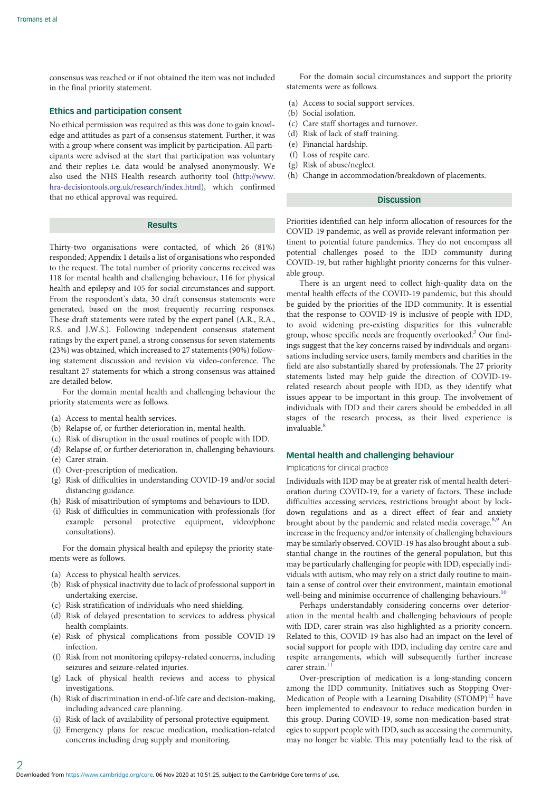consensus was reached or if not obtained the item was not included in the final priority statement.

# Ethics and participation consent

No ethical permission was required as this was done to gain knowledge and attitudes as part of a consensus statement. Further, it was with a group where consent was implicit by participation. All participants were advised at the start that participation was voluntary and their replies i.e. data would be analysed anonymously. We also used the NHS Health research authority tool ([http://www.](http://www.hra-decisiontools.org.uk/research/index.html) [hra-decisiontools.org.uk/research/index.html\)](http://www.hra-decisiontools.org.uk/research/index.html), which confirmed that no ethical approval was required.

## Results

Thirty-two organisations were contacted, of which 26 (81%) responded; Appendix 1 details a list of organisations who responded to the request. The total number of priority concerns received was 118 for mental health and challenging behaviour, 116 for physical health and epilepsy and 105 for social circumstances and support. From the respondent's data, 30 draft consensus statements were generated, based on the most frequently recurring responses. These draft statements were rated by the expert panel (A.R., R.A., R.S. and J.W.S.). Following independent consensus statement ratings by the expert panel, a strong consensus for seven statements (23%) was obtained, which increased to 27 statements (90%) following statement discussion and revision via video-conference. The resultant 27 statements for which a strong consensus was attained are detailed below.

For the domain mental health and challenging behaviour the priority statements were as follows.

- (a) Access to mental health services.
- (b) Relapse of, or further deterioration in, mental health.
- (c) Risk of disruption in the usual routines of people with IDD.
- (d) Relapse of, or further deterioration in, challenging behaviours.
- (e) Carer strain.
- (f) Over-prescription of medication.
- (g) Risk of difficulties in understanding COVID-19 and/or social distancing guidance.
- (h) Risk of misattribution of symptoms and behaviours to IDD.
- (i) Risk of difficulties in communication with professionals (for example personal protective equipment, video/phone consultations).

For the domain physical health and epilepsy the priority statements were as follows.

- (a) Access to physical health services.
- (b) Risk of physical inactivity due to lack of professional support in undertaking exercise.
- (c) Risk stratification of individuals who need shielding.
- (d) Risk of delayed presentation to services to address physical health complaints.
- (e) Risk of physical complications from possible COVID-19 infection.
- (f) Risk from not monitoring epilepsy-related concerns, including seizures and seizure-related injuries.
- (g) Lack of physical health reviews and access to physical investigations.
- (h) Risk of discrimination in end-of-life care and decision-making, including advanced care planning.
- (i) Risk of lack of availability of personal protective equipment.
- (j) Emergency plans for rescue medication, medication-related concerns including drug supply and monitoring.

For the domain social circumstances and support the priority statements were as follows.

- (a) Access to social support services.
- (b) Social isolation.
- (c) Care staff shortages and turnover.
- (d) Risk of lack of staff training.
- (e) Financial hardship.
- (f) Loss of respite care.
- (g) Risk of abuse/neglect.
- (h) Change in accommodation/breakdown of placements.

## **Discussion**

Priorities identified can help inform allocation of resources for the COVID-19 pandemic, as well as provide relevant information pertinent to potential future pandemics. They do not encompass all potential challenges posed to the IDD community during COVID-19, but rather highlight priority concerns for this vulnerable group.

There is an urgent need to collect high-quality data on the mental health effects of the COVID-19 pandemic, but this should be guided by the priorities of the IDD community. It is essential that the response to COVID-19 is inclusive of people with IDD, to avoid widening pre-existing disparities for this vulnerable group, whose specific needs are frequently overlooked[.3](#page-4-0) Our findings suggest that the key concerns raised by individuals and organisations including service users, family members and charities in the field are also substantially shared by professionals. The 27 priority statements listed may help guide the direction of COVID-19 related research about people with IDD, as they identify what issues appear to be important in this group. The involvement of individuals with IDD and their carers should be embedded in all stages of the research process, as their lived experience is invaluable. $8$ 

## Mental health and challenging behaviour

## Implications for clinical practice

Individuals with IDD may be at greater risk of mental health deterioration during COVID-19, for a variety of factors. These include difficulties accessing services, restrictions brought about by lockdown regulations and as a direct effect of fear and anxiety brought about by the pandemic and related media coverage.<sup>[8](#page-5-0),[9](#page-5-0)</sup> An increase in the frequency and/or intensity of challenging behaviours may be similarly observed. COVID-19 has also brought about a substantial change in the routines of the general population, but this may be particularly challenging for people with IDD, especially individuals with autism, who may rely on a strict daily routine to maintain a sense of control over their environment, maintain emotional well-being and minimise occurrence of challenging behaviours.<sup>10</sup>

Perhaps understandably considering concerns over deterioration in the mental health and challenging behaviours of people with IDD, carer strain was also highlighted as a priority concern. Related to this, COVID-19 has also had an impact on the level of social support for people with IDD, including day centre care and respite arrangements, which will subsequently further increase carer strain.<sup>[11](#page-5-0)</sup>

Over-prescription of medication is a long-standing concern among the IDD community. Initiatives such as Stopping Over-Medication of People with a Learning Disability  $(STOMP)^{12}$  $(STOMP)^{12}$  $(STOMP)^{12}$  have been implemented to endeavour to reduce medication burden in this group. During COVID-19, some non-medication-based strategies to support people with IDD, such as accessing the community, may no longer be viable. This may potentially lead to the risk of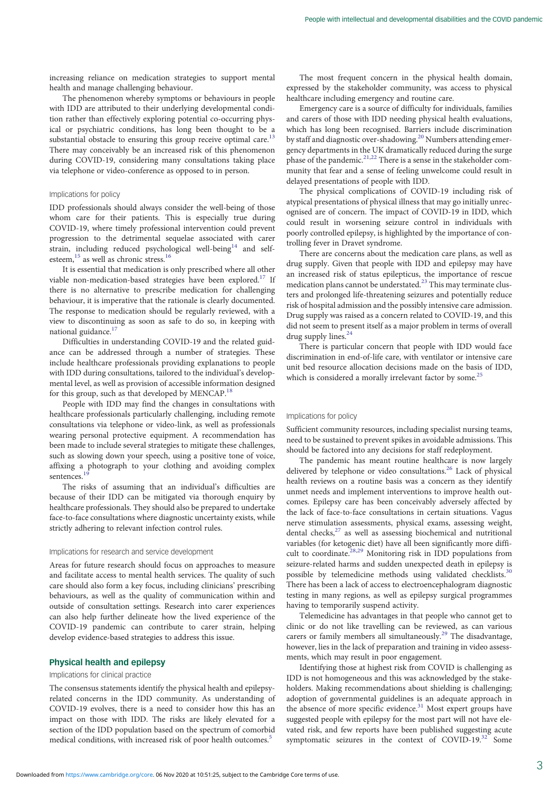increasing reliance on medication strategies to support mental health and manage challenging behaviour.

The phenomenon whereby symptoms or behaviours in people with IDD are attributed to their underlying developmental condition rather than effectively exploring potential co-occurring physical or psychiatric conditions, has long been thought to be a substantial obstacle to ensuring this group receive optimal care.<sup>[13](#page-5-0)</sup> There may conceivably be an increased risk of this phenomenon during COVID-19, considering many consultations taking place via telephone or video-conference as opposed to in person.

## Implications for policy

IDD professionals should always consider the well-being of those whom care for their patients. This is especially true during COVID-19, where timely professional intervention could prevent progression to the detrimental sequelae associated with carer strain, including reduced psychological well-being $14$  and selfesteem, $^{15}$  $^{15}$  $^{15}$  as well as chronic stress.<sup>[16](#page-5-0)</sup>

It is essential that medication is only prescribed where all other viable non-medication-based strategies have been explored.<sup>[17](#page-5-0)</sup> If there is no alternative to prescribe medication for challenging behaviour, it is imperative that the rationale is clearly documented. The response to medication should be regularly reviewed, with a view to discontinuing as soon as safe to do so, in keeping with national guidance.<sup>[17](#page-5-0)</sup>

Difficulties in understanding COVID-19 and the related guidance can be addressed through a number of strategies. These include healthcare professionals providing explanations to people with IDD during consultations, tailored to the individual's developmental level, as well as provision of accessible information designed for this group, such as that developed by MENCAP.<sup>[18](#page-5-0)</sup>

People with IDD may find the changes in consultations with healthcare professionals particularly challenging, including remote consultations via telephone or video-link, as well as professionals wearing personal protective equipment. A recommendation has been made to include several strategies to mitigate these challenges, such as slowing down your speech, using a positive tone of voice, affixing a photograph to your clothing and avoiding complex sentences.<sup>1</sup>

The risks of assuming that an individual's difficulties are because of their IDD can be mitigated via thorough enquiry by healthcare professionals. They should also be prepared to undertake face-to-face consultations where diagnostic uncertainty exists, while strictly adhering to relevant infection control rules.

## Implications for research and service development

Areas for future research should focus on approaches to measure and facilitate access to mental health services. The quality of such care should also form a key focus, including clinicians' prescribing behaviours, as well as the quality of communication within and outside of consultation settings. Research into carer experiences can also help further delineate how the lived experience of the COVID-19 pandemic can contribute to carer strain, helping develop evidence-based strategies to address this issue.

# Physical health and epilepsy

## Implications for clinical practice

The consensus statements identify the physical health and epilepsyrelated concerns in the IDD community. As understanding of COVID-19 evolves, there is a need to consider how this has an impact on those with IDD. The risks are likely elevated for a section of the IDD population based on the spectrum of comorbid medical conditions, with increased risk of poor health outcomes[.5](#page-4-0)

The most frequent concern in the physical health domain, expressed by the stakeholder community, was access to physical healthcare including emergency and routine care.

Emergency care is a source of difficulty for individuals, families and carers of those with IDD needing physical health evaluations, which has long been recognised. Barriers include discrimination by staff and diagnostic over-shadowing.<sup>[20](#page-5-0)</sup> Numbers attending emergency departments in the UK dramatically reduced during the surge phase of the pandemic.<sup>[21,22](#page-5-0)</sup> There is a sense in the stakeholder community that fear and a sense of feeling unwelcome could result in delayed presentations of people with IDD.

The physical complications of COVID-19 including risk of atypical presentations of physical illness that may go initially unrecognised are of concern. The impact of COVID-19 in IDD, which could result in worsening seizure control in individuals with poorly controlled epilepsy, is highlighted by the importance of controlling fever in Dravet syndrome.

There are concerns about the medication care plans, as well as drug supply. Given that people with IDD and epilepsy may have an increased risk of status epilepticus, the importance of rescue medication plans cannot be understated.[23](#page-5-0) This may terminate clusters and prolonged life-threatening seizures and potentially reduce risk of hospital admission and the possibly intensive care admission. Drug supply was raised as a concern related to COVID-19, and this did not seem to present itself as a major problem in terms of overall drug supply lines.<sup>24</sup>

There is particular concern that people with IDD would face discrimination in end-of-life care, with ventilator or intensive care unit bed resource allocation decisions made on the basis of IDD, which is considered a morally irrelevant factor by some.<sup>[25](#page-5-0)</sup>

#### Implications for policy

Sufficient community resources, including specialist nursing teams, need to be sustained to prevent spikes in avoidable admissions. This should be factored into any decisions for staff redeployment.

The pandemic has meant routine healthcare is now largely delivered by telephone or video consultations.[26](#page-5-0) Lack of physical health reviews on a routine basis was a concern as they identify unmet needs and implement interventions to improve health outcomes. Epilepsy care has been conceivably adversely affected by the lack of face-to-face consultations in certain situations. Vagus nerve stimulation assessments, physical exams, assessing weight, dental checks, $27$  as well as assessing biochemical and nutritional variables (for ketogenic diet) have all been significantly more diffi-cult to coordinate.<sup>[28](#page-5-0),[29](#page-5-0)</sup> Monitoring risk in IDD populations from seizure-related harms and sudden unexpected death in epilepsy is possible by telemedicine methods using validated checklists.<sup>[30](#page-5-0)</sup> There has been a lack of access to electroencephalogram diagnostic testing in many regions, as well as epilepsy surgical programmes having to temporarily suspend activity.

Telemedicine has advantages in that people who cannot get to clinic or do not like travelling can be reviewed, as can various carers or family members all simultaneously.[29](#page-5-0) The disadvantage, however, lies in the lack of preparation and training in video assessments, which may result in poor engagement.

Identifying those at highest risk from COVID is challenging as IDD is not homogeneous and this was acknowledged by the stakeholders. Making recommendations about shielding is challenging; adoption of governmental guidelines is an adequate approach in the absence of more specific evidence.<sup>31</sup> Most expert groups have suggested people with epilepsy for the most part will not have elevated risk, and few reports have been published suggesting acute symptomatic seizures in the context of COVID-19.<sup>[32](#page-5-0)</sup> Some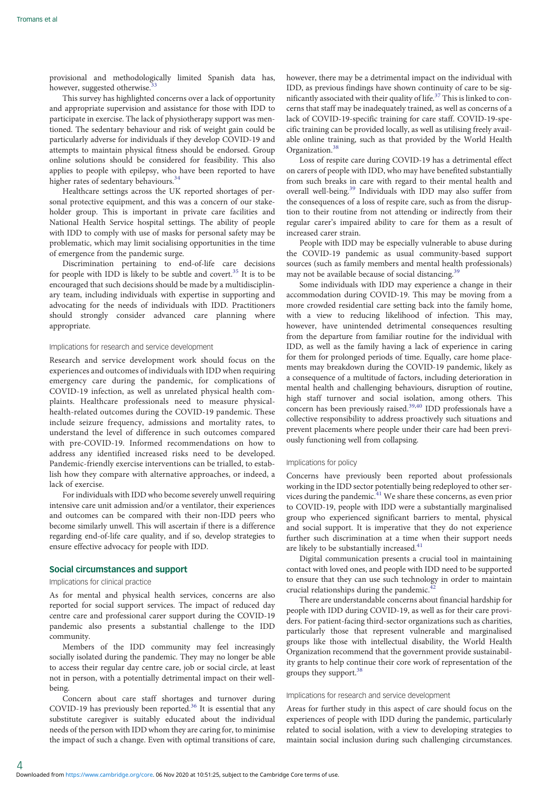provisional and methodologically limited Spanish data has, however, suggested otherwise.<sup>3</sup>

This survey has highlighted concerns over a lack of opportunity and appropriate supervision and assistance for those with IDD to participate in exercise. The lack of physiotherapy support was mentioned. The sedentary behaviour and risk of weight gain could be particularly adverse for individuals if they develop COVID-19 and attempts to maintain physical fitness should be endorsed. Group online solutions should be considered for feasibility. This also applies to people with epilepsy, who have been reported to have higher rates of sedentary behaviours.<sup>[34](#page-5-0)</sup>

Healthcare settings across the UK reported shortages of personal protective equipment, and this was a concern of our stakeholder group. This is important in private care facilities and National Health Service hospital settings. The ability of people with IDD to comply with use of masks for personal safety may be problematic, which may limit socialising opportunities in the time of emergence from the pandemic surge.

Discrimination pertaining to end-of-life care decisions for people with IDD is likely to be subtle and covert.<sup>[35](#page-5-0)</sup> It is to be encouraged that such decisions should be made by a multidisciplinary team, including individuals with expertise in supporting and advocating for the needs of individuals with IDD. Practitioners should strongly consider advanced care planning where appropriate.

#### Implications for research and service development

Research and service development work should focus on the experiences and outcomes of individuals with IDD when requiring emergency care during the pandemic, for complications of COVID-19 infection, as well as unrelated physical health complaints. Healthcare professionals need to measure physicalhealth-related outcomes during the COVID-19 pandemic. These include seizure frequency, admissions and mortality rates, to understand the level of difference in such outcomes compared with pre-COVID-19. Informed recommendations on how to address any identified increased risks need to be developed. Pandemic-friendly exercise interventions can be trialled, to establish how they compare with alternative approaches, or indeed, a lack of exercise.

For individuals with IDD who become severely unwell requiring intensive care unit admission and/or a ventilator, their experiences and outcomes can be compared with their non-IDD peers who become similarly unwell. This will ascertain if there is a difference regarding end-of-life care quality, and if so, develop strategies to ensure effective advocacy for people with IDD.

## Social circumstances and support

# Implications for clinical practice

As for mental and physical health services, concerns are also reported for social support services. The impact of reduced day centre care and professional carer support during the COVID-19 pandemic also presents a substantial challenge to the IDD community.

Members of the IDD community may feel increasingly socially isolated during the pandemic. They may no longer be able to access their regular day centre care, job or social circle, at least not in person, with a potentially detrimental impact on their wellbeing.

Concern about care staff shortages and turnover during COVID-19 has previously been reported.<sup>[36](#page-5-0)</sup> It is essential that any substitute caregiver is suitably educated about the individual needs of the person with IDD whom they are caring for, to minimise the impact of such a change. Even with optimal transitions of care,

however, there may be a detrimental impact on the individual with IDD, as previous findings have shown continuity of care to be sig-nificantly associated with their quality of life.<sup>[37](#page-5-0)</sup> This is linked to concerns that staff may be inadequately trained, as well as concerns of a lack of COVID-19-specific training for care staff. COVID-19-specific training can be provided locally, as well as utilising freely available online training, such as that provided by the World Health Organization.<sup>[38](#page-5-0)</sup>

Loss of respite care during COVID-19 has a detrimental effect on carers of people with IDD, who may have benefited substantially from such breaks in care with regard to their mental health and overall well-being.[39](#page-5-0) Individuals with IDD may also suffer from the consequences of a loss of respite care, such as from the disruption to their routine from not attending or indirectly from their regular carer's impaired ability to care for them as a result of increased carer strain.

People with IDD may be especially vulnerable to abuse during the COVID-19 pandemic as usual community-based support sources (such as family members and mental health professionals) may not be available because of social distancing.<sup>[39](#page-5-0)</sup>

Some individuals with IDD may experience a change in their accommodation during COVID-19. This may be moving from a more crowded residential care setting back into the family home, with a view to reducing likelihood of infection. This may, however, have unintended detrimental consequences resulting from the departure from familiar routine for the individual with IDD, as well as the family having a lack of experience in caring for them for prolonged periods of time. Equally, care home placements may breakdown during the COVID-19 pandemic, likely as a consequence of a multitude of factors, including deterioration in mental health and challenging behaviours, disruption of routine, high staff turnover and social isolation, among others. This concern has been previously raised.<sup>[39](#page-5-0),[40](#page-5-0)</sup> IDD professionals have a collective responsibility to address proactively such situations and prevent placements where people under their care had been previously functioning well from collapsing.

#### Implications for policy

Concerns have previously been reported about professionals working in the IDD sector potentially being redeployed to other services during the pandemic.[41](#page-5-0) We share these concerns, as even prior to COVID-19, people with IDD were a substantially marginalised group who experienced significant barriers to mental, physical and social support. It is imperative that they do not experience further such discrimination at a time when their support needs are likely to be substantially increased.  $\!41}$  $\!41}$  $\!41}$ 

Digital communication presents a crucial tool in maintaining contact with loved ones, and people with IDD need to be supported to ensure that they can use such technology in order to maintain crucial relationships during the pandemic.<sup>4</sup>

There are understandable concerns about financial hardship for people with IDD during COVID-19, as well as for their care providers. For patient-facing third-sector organizations such as charities, particularly those that represent vulnerable and marginalised groups like those with intellectual disability, the World Health Organization recommend that the government provide sustainability grants to help continue their core work of representation of the groups they support.<sup>38</sup>

## Implications for research and service development

Areas for further study in this aspect of care should focus on the experiences of people with IDD during the pandemic, particularly related to social isolation, with a view to developing strategies to maintain social inclusion during such challenging circumstances.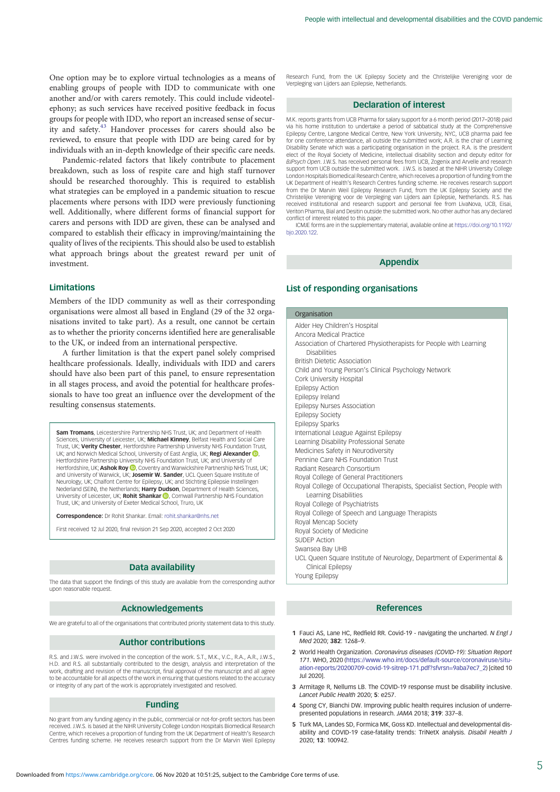<span id="page-4-0"></span>One option may be to explore virtual technologies as a means of enabling groups of people with IDD to communicate with one another and/or with carers remotely. This could include videotelephony; as such services have received positive feedback in focus groups for people with IDD, who report an increased sense of security and safety.[43](#page-5-0) Handover processes for carers should also be reviewed, to ensure that people with IDD are being cared for by individuals with an in-depth knowledge of their specific care needs.

Pandemic-related factors that likely contribute to placement breakdown, such as loss of respite care and high staff turnover should be researched thoroughly. This is required to establish what strategies can be employed in a pandemic situation to rescue placements where persons with IDD were previously functioning well. Additionally, where different forms of financial support for carers and persons with IDD are given, these can be analysed and compared to establish their efficacy in improving/maintaining the quality of lives of the recipients. This should also be used to establish what approach brings about the greatest reward per unit of investment.

## Limitations

Members of the IDD community as well as their corresponding organisations were almost all based in England (29 of the 32 organisations invited to take part). As a result, one cannot be certain as to whether the priority concerns identified here are generalisable to the UK, or indeed from an international perspective.

A further limitation is that the expert panel solely comprised healthcare professionals. Ideally, individuals with IDD and carers should have also been part of this panel, to ensure representation in all stages process, and avoid the potential for healthcare professionals to have too great an influence over the development of the resulting consensus statements.

Sam Tromans, Leicestershire Partnership NHS Trust, UK; and Department of Health Sciences, University of Leicester, UK; **Michael Kinney**, Belfast Health and Social Care<br>Trust, UK; **Verity Chester**, Hertfordshire Partnership University NHS Foundation Trust, UK; and Norwich Medical School[,](https://orcid.org/0000-0002-3554-2948) University of East Anglia, UK; Regi Alexander **D**, Hertfordshire Partnership University NHS Foundation Trust, UK; and University of Hertfordshire[,](https://orcid.org/0000-0002-8432-981X) UK; Ashok Roy (D), Coventry and Warwickshire Partnership NHS Trust, UK; and University of Warwick, UK; Josemir W. Sander, UCL Queen Square Institute of Neurology, UK; Chalfont Centre for Epilepsy, UK; and Stichting Epilepsie Instellingen Nederland (SEIN), the Netherlands; **Harry Dudson**, Department of Health Sciences, University of Leicester, UK; Rohit Shankar (D), Cornwall Partnership NHS Foundation Trust, UK; and University of Exeter Medical School, Truro, UK

Correspondence: Dr Rohit Shankar. Email: [rohit.shankar@nhs.net](mailto:rohit.shankar@nhs.net)

First received 12 Jul 2020, final revision 21 Sep 2020, accepted 2 Oct 2020

#### Data availability

The data that support the findings of this study are available from the corresponding author upon reasonable request.

## Acknowledgements

We are grateful to all of the organisations that contributed priority statement data to this study.

# Author contributions

R.S. and J.W.S. were involved in the conception of the work. S.T., M.K., V.C., R.A., A.R., J.W.S., H.D. and R.S. all substantially contributed to the design, analysis and interpretation of the work, drafting and revision of the manuscript, final approval of the manuscript and all agree to be accountable for all aspects of the work in ensuring that questions related to the accuracy or integrity of any part of the work is appropriately investigated and resolved.

## Funding

No grant from any funding agency in the public, commercial or not-for-profit sectors has been received. J.W.S. is based at the NIHR University College London Hospitals Biomedical Research Centre, which receives a proportion of funding from the UK Department of Health's Research Centres funding scheme. He receives research support from the Dr Marvin Weil Epilepsy

Research Fund, from the UK Epilepsy Society and the Christelijke Vereniging voor de Verpleging van Lijders aan Epilepsie, Netherlands.

#### Declaration of interest

M.K. reports grants from UCB Pharma for salary support for a 6 month period (2017–2018) paid via his home institution to undertake a period of sabbatical study at the Comprehensive Epilepsy Centre, Langone Medical Centre, New York University, NYC, UCB pharma paid fee for one conference attendance, all outside the submitted work; A.R. is the chair of Learning Disability Senate which was a participating organisation in the project. R.A. is the president elect of the Royal Society of Medicine, intellectual disability section and deputy editor for<br>*BJPsych Open.* J.W.S. has received personal fees from UCB, Zogenix and Arvelle and research support from UCB outside the submitted work. J.W.S. is based at the NIHR University College London Hospitals Biomedical Research Centre, which receives a proportion of funding from the UK Department of Health's Research Centres funding scheme. He receives research support from the Dr Marvin Weil Epilepsy Research Fund, from the UK Epilepsy Society and the Christelijke Vereniging voor de Verpleging van Lijders aan Epilepsie, Netherlands. R.S. has received institutional and research support and personal fee from LivaNova, UCB, Eisai, Veriton Pharma, Bial and Desitin outside the submitted work. No other author has any declared conflict of interest related to this paper.

ICMJE forms are in the supplementary material, available online at [https://doi.org/10.1192/](https://doi.org/10.1192/bjo.2020.122) [bjo.2020.122.](https://doi.org/10.1192/bjo.2020.122)

# Appendix

# List of responding organisations

| Organisation                                                                                       |
|----------------------------------------------------------------------------------------------------|
| Alder Hey Children's Hospital                                                                      |
| Ancora Medical Practice                                                                            |
| Association of Chartered Physiotherapists for People with Learning<br><b>Disabilities</b>          |
| <b>British Dietetic Association</b>                                                                |
| Child and Young Person's Clinical Psychology Network                                               |
| Cork University Hospital                                                                           |
| <b>Epilepsy Action</b>                                                                             |
| Epilepsy Ireland                                                                                   |
| <b>Epilepsy Nurses Association</b>                                                                 |
| <b>Epilepsy Society</b>                                                                            |
| <b>Epilepsy Sparks</b>                                                                             |
| International League Against Epilepsy                                                              |
| Learning Disability Professional Senate                                                            |
| Medicines Safety in Neurodiversity                                                                 |
| Pennine Care NHS Foundation Trust                                                                  |
| Radiant Research Consortium                                                                        |
| Royal College of General Practitioners                                                             |
| Royal College of Occupational Therapists, Specialist Section, People with<br>Learning Disabilities |
| Royal College of Psychiatrists                                                                     |
| Royal College of Speech and Language Therapists                                                    |
| Royal Mencap Society                                                                               |
| Royal Society of Medicine                                                                          |
| <b>SUDFP Action</b>                                                                                |
| Swansea Bay UHB                                                                                    |
| UCL Queen Square Institute of Neurology, Department of Experimental &                              |
| <b>Clinical Epilepsy</b>                                                                           |
| Young Epilepsy                                                                                     |

# References

- 1 Fauci AS, Lane HC, Redfield RR. Covid-19 navigating the uncharted. N Engl J Med 2020; 382: 1268–9.
- 2 World Health Organization. Coronavirus diseases (COVID-19): Situation Report 171. WHO, 2020 [\(https://www.who.int/docs/default-source/coronaviruse/situ](https://www.who.int/docs/default-source/coronaviruse/situation-reports/20200709-covid-19-sitrep-171.pdf?sfvrsn=9aba7ec7_2)[ation-reports/20200709-covid-19-sitrep-171.pdf?sfvrsn=9aba7ec7\\_2\)](https://www.who.int/docs/default-source/coronaviruse/situation-reports/20200709-covid-19-sitrep-171.pdf?sfvrsn=9aba7ec7_2) [cited 10 Jul 2020].
- 3 Armitage R, Nellums LB. The COVID-19 response must be disability inclusive. Lancet Public Health 2020; 5: e257.
- 4 Spong CY, Bianchi DW. Improving public health requires inclusion of underrepresented populations in research. JAMA 2018; 319: 337–8.
- 5 Turk MA, Landes SD, Formica MK, Goss KD, Intellectual and developmental disability and COVID-19 case-fatality trends: TriNetX analysis. Disabil Health J 2020; 13: 100942.